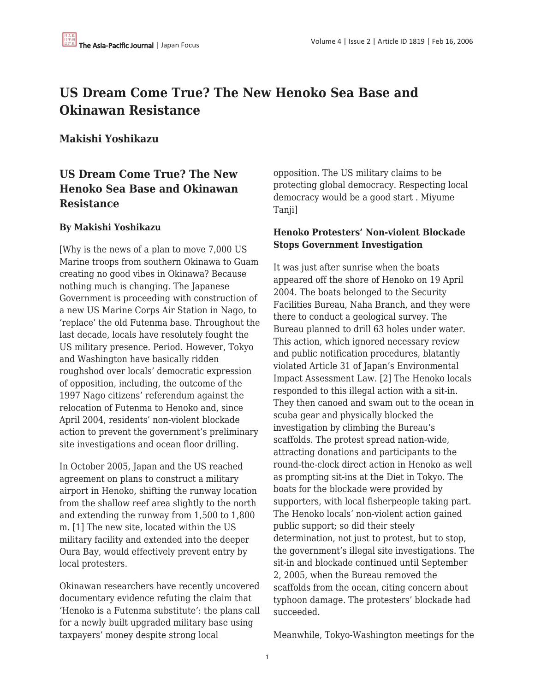# **US Dream Come True? The New Henoko Sea Base and Okinawan Resistance**

### **Makishi Yoshikazu**

## **US Dream Come True? The New Henoko Sea Base and Okinawan Resistance**

#### **By Makishi Yoshikazu**

[Why is the news of a plan to move 7,000 US Marine troops from southern Okinawa to Guam creating no good vibes in Okinawa? Because nothing much is changing. The Japanese Government is proceeding with construction of a new US Marine Corps Air Station in Nago, to 'replace' the old Futenma base. Throughout the last decade, locals have resolutely fought the US military presence. Period. However, Tokyo and Washington have basically ridden roughshod over locals' democratic expression of opposition, including, the outcome of the 1997 Nago citizens' referendum against the relocation of Futenma to Henoko and, since April 2004, residents' non-violent blockade action to prevent the government's preliminary site investigations and ocean floor drilling.

In October 2005, Japan and the US reached agreement on plans to construct a military airport in Henoko, shifting the runway location from the shallow reef area slightly to the north and extending the runway from 1,500 to 1,800 m. [1] The new site, located within the US military facility and extended into the deeper Oura Bay, would effectively prevent entry by local protesters.

Okinawan researchers have recently uncovered documentary evidence refuting the claim that 'Henoko is a Futenma substitute': the plans call for a newly built upgraded military base using taxpayers' money despite strong local

opposition. The US military claims to be protecting global democracy. Respecting local democracy would be a good start . Miyume Taniil

#### **Henoko Protesters' Non-violent Blockade Stops Government Investigation**

It was just after sunrise when the boats appeared off the shore of Henoko on 19 April 2004. The boats belonged to the Security Facilities Bureau, Naha Branch, and they were there to conduct a geological survey. The Bureau planned to drill 63 holes under water. This action, which ignored necessary review and public notification procedures, blatantly violated Article 31 of Japan's Environmental Impact Assessment Law. [2] The Henoko locals responded to this illegal action with a sit-in. They then canoed and swam out to the ocean in scuba gear and physically blocked the investigation by climbing the Bureau's scaffolds. The protest spread nation-wide, attracting donations and participants to the round-the-clock direct action in Henoko as well as prompting sit-ins at the Diet in Tokyo. The boats for the blockade were provided by supporters, with local fisherpeople taking part. The Henoko locals' non-violent action gained public support; so did their steely determination, not just to protest, but to stop, the government's illegal site investigations. The sit-in and blockade continued until September 2, 2005, when the Bureau removed the scaffolds from the ocean, citing concern about typhoon damage. The protesters' blockade had succeeded.

Meanwhile, Tokyo-Washington meetings for the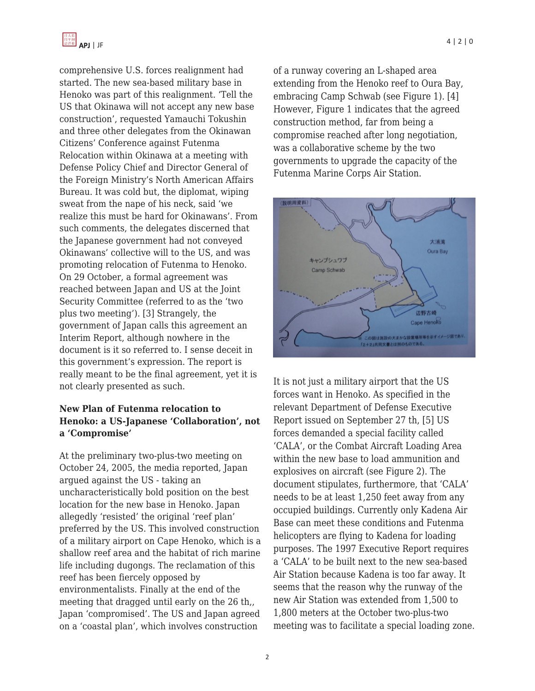

comprehensive U.S. forces realignment had started. The new sea-based military base in Henoko was part of this realignment. 'Tell the US that Okinawa will not accept any new base construction', requested Yamauchi Tokushin and three other delegates from the Okinawan Citizens' Conference against Futenma Relocation within Okinawa at a meeting with Defense Policy Chief and Director General of the Foreign Ministry's North American Affairs Bureau. It was cold but, the diplomat, wiping sweat from the nape of his neck, said 'we realize this must be hard for Okinawans'. From such comments, the delegates discerned that the Japanese government had not conveyed Okinawans' collective will to the US, and was promoting relocation of Futenma to Henoko. On 29 October, a formal agreement was reached between Japan and US at the Joint Security Committee (referred to as the 'two plus two meeting'). [3] Strangely, the government of Japan calls this agreement an Interim Report, although nowhere in the document is it so referred to. I sense deceit in this government's expression. The report is really meant to be the final agreement, yet it is not clearly presented as such.

#### **New Plan of Futenma relocation to Henoko: a US-Japanese 'Collaboration', not a 'Compromise'**

At the preliminary two-plus-two meeting on October 24, 2005, the media reported, Japan argued against the US - taking an uncharacteristically bold position on the best location for the new base in Henoko. Japan allegedly 'resisted' the original 'reef plan' preferred by the US. This involved construction of a military airport on Cape Henoko, which is a shallow reef area and the habitat of rich marine life including dugongs. The reclamation of this reef has been fiercely opposed by environmentalists. Finally at the end of the meeting that dragged until early on the 26 th,, Japan 'compromised'. The US and Japan agreed on a 'coastal plan', which involves construction

of a runway covering an L-shaped area extending from the Henoko reef to Oura Bay, embracing Camp Schwab (see Figure 1). [4] However, Figure 1 indicates that the agreed construction method, far from being a compromise reached after long negotiation, was a collaborative scheme by the two governments to upgrade the capacity of the Futenma Marine Corps Air Station.



It is not just a military airport that the US forces want in Henoko. As specified in the relevant Department of Defense Executive Report issued on September 27 th, [5] US forces demanded a special facility called 'CALA', or the Combat Aircraft Loading Area within the new base to load ammunition and explosives on aircraft (see Figure 2). The document stipulates, furthermore, that 'CALA' needs to be at least 1,250 feet away from any occupied buildings. Currently only Kadena Air Base can meet these conditions and Futenma helicopters are flying to Kadena for loading purposes. The 1997 Executive Report requires a 'CALA' to be built next to the new sea-based Air Station because Kadena is too far away. It seems that the reason why the runway of the new Air Station was extended from 1,500 to 1,800 meters at the October two-plus-two meeting was to facilitate a special loading zone.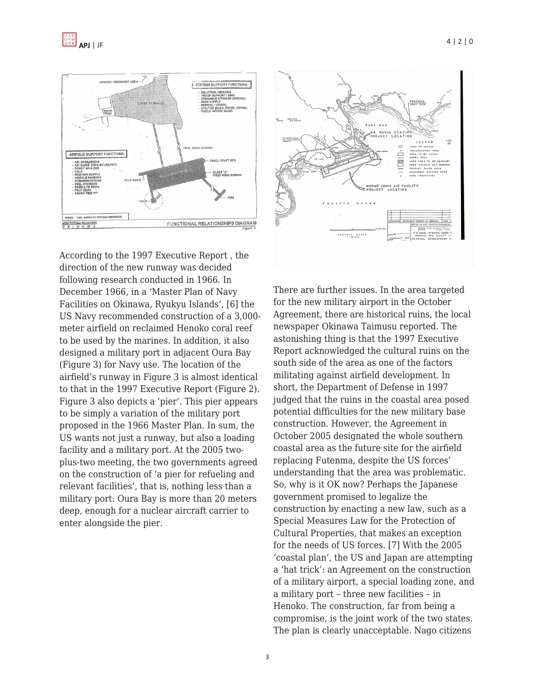

According to the 1997 Executive Report , the direction of the new runway was decided following research conducted in 1966. In December 1966, in a 'Master Plan of Navy Facilities on Okinawa, Ryukyu Islands', [6] the US Navy recommended construction of a 3,000 meter airfield on reclaimed Henoko coral reef to be used by the marines. In addition, it also designed a military port in adjacent Oura Bay (Figure 3) for Navy use. The location of the airfield's runway in Figure 3 is almost identical to that in the 1997 Executive Report (Figure 2). Figure 3 also depicts a 'pier'. This pier appears to be simply a variation of the military port proposed in the 1966 Master Plan. In sum, the US wants not just a runway, but also a loading facility and a military port. At the 2005 twoplus-two meeting, the two governments agreed on the construction of 'a pier for refueling and relevant facilities', that is, nothing less than a military port: Oura Bay is more than 20 meters deep, enough for a nuclear aircraft carrier to enter alongside the pier.



There are further issues. In the area targeted for the new military airport in the October Agreement, there are historical ruins, the local newspaper Okinawa Taimusu reported. The astonishing thing is that the 1997 Executive Report acknowledged the cultural ruins on the south side of the area as one of the factors militating against airfield development. In short, the Department of Defense in 1997 judged that the ruins in the coastal area posed potential difficulties for the new military base construction. However, the Agreement in October 2005 designated the whole southern coastal area as the future site for the airfield replacing Futenma, despite the US forces' understanding that the area was problematic. So, why is it OK now? Perhaps the Japanese government promised to legalize the construction by enacting a new law, such as a Special Measures Law for the Protection of Cultural Properties, that makes an exception for the needs of US forces. [7] With the 2005 'coastal plan', the US and Japan are attempting a 'hat trick': an Agreement on the construction of a military airport, a special loading zone, and a military port – three new facilities – in Henoko. The construction, far from being a compromise, is the joint work of the two states. The plan is clearly unacceptable. Nago citizens